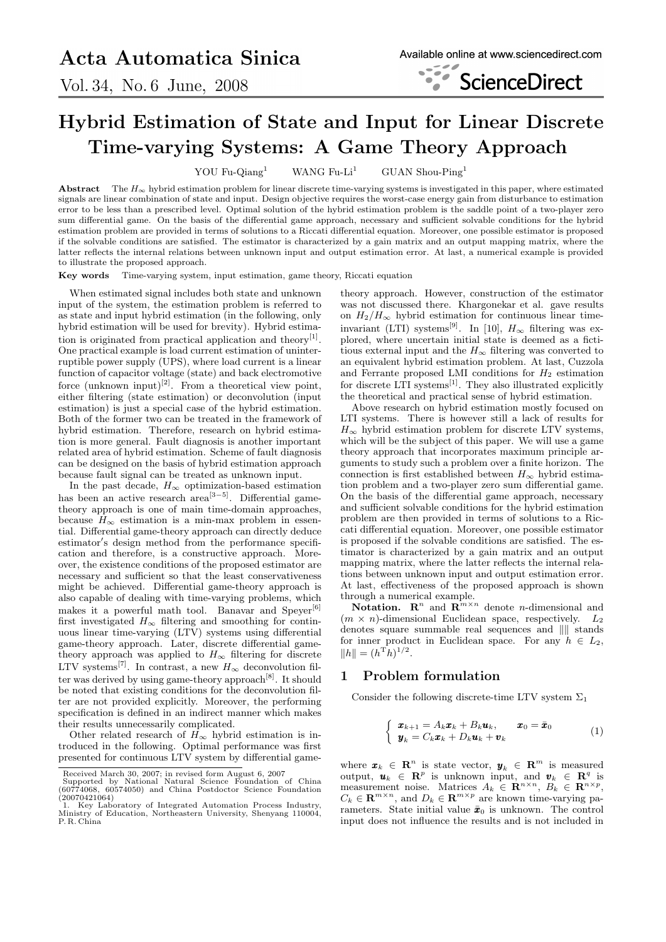Vol. 34, No. 6 June, 2008



# Hybrid Estimation of State and Input for Linear Discrete Time-varying Systems: A Game Theory Approach

YOU Fu-Qiang<sup>1</sup> WANG Fu-Li<sup>1</sup> GUAN Shou-Ping<sup>1</sup>

Abstract The  $H_{\infty}$  hybrid estimation problem for linear discrete time-varying systems is investigated in this paper, where estimated signals are linear combination of state and input. Design objective requires the worst-case energy gain from disturbance to estimation error to be less than a prescribed level. Optimal solution of the hybrid estimation problem is the saddle point of a two-player zero sum differential game. On the basis of the differential game approach, necessary and sufficient solvable conditions for the hybrid estimation problem are provided in terms of solutions to a Riccati differential equation. Moreover, one possible estimator is proposed if the solvable conditions are satisfied. The estimator is characterized by a gain matrix and an output mapping matrix, where the latter reflects the internal relations between unknown input and output estimation error. At last, a numerical example is provided to illustrate the proposed approach.

Key words Time-varying system, input estimation, game theory, Riccati equation

When estimated signal includes both state and unknown input of the system, the estimation problem is referred to as state and input hybrid estimation (in the following, only hybrid estimation will be used for brevity). Hybrid estimation is originated from practical application and theory<sup>[1]</sup>. One practical example is load current estimation of uninterruptible power supply (UPS), where load current is a linear function of capacitor voltage (state) and back electromotive force (unknown input)<sup>[2]</sup>. From a theoretical view point, either filtering (state estimation) or deconvolution (input estimation) is just a special case of the hybrid estimation. Both of the former two can be treated in the framework of hybrid estimation. Therefore, research on hybrid estimation is more general. Fault diagnosis is another important related area of hybrid estimation. Scheme of fault diagnosis can be designed on the basis of hybrid estimation approach because fault signal can be treated as unknown input.

In the past decade,  $H_{\infty}$  optimization-based estimation has been an active research area<sup>[3−5]</sup>. Differential gametheory approach is one of main time-domain approaches, because  $H_{\infty}$  estimation is a min-max problem in essential. Differential game-theory approach can directly deduce estimator's design method from the performance specification and therefore, is a constructive approach. Moreover, the existence conditions of the proposed estimator are necessary and sufficient so that the least conservativeness might be achieved. Differential game-theory approach is also capable of dealing with time-varying problems, which makes it a powerful math tool. Banavar and Speyer<sup>[6]</sup> first investigated  $H_{\infty}$  filtering and smoothing for continuous linear time-varying (LTV) systems using differential game-theory approach. Later, discrete differential gametheory approach was applied to  $H_{\infty}$  filtering for discrete LTV systems<sup>[7]</sup>. In contrast, a new  $H_{\infty}$  deconvolution filter was derived by using game-theory approach<sup>[8]</sup>. It should be noted that existing conditions for the deconvolution filter are not provided explicitly. Moreover, the performing specification is defined in an indirect manner which makes their results unnecessarily complicated.

Other related research of  $H_{\infty}$  hybrid estimation is introduced in the following. Optimal performance was first presented for continuous LTV system by differential gametheory approach. However, construction of the estimator was not discussed there. Khargonekar et al. gave results on  $H_2/H_\infty$  hybrid estimation for continuous linear timeinvariant (LTI) systems<sup>[9]</sup>. In [10],  $H_{\infty}$  filtering was explored, where uncertain initial state is deemed as a fictitious external input and the  $H_{\infty}$  filtering was converted to an equivalent hybrid estimation problem. At last, Cuzzola and Ferrante proposed LMI conditions for  $H_2$  estimation for discrete LTI systems<sup>[1]</sup>. They also illustrated explicitly the theoretical and practical sense of hybrid estimation.

Above research on hybrid estimation mostly focused on LTI systems. There is however still a lack of results for  $H_{\infty}$  hybrid estimation problem for discrete LTV systems, which will be the subject of this paper. We will use a game theory approach that incorporates maximum principle arguments to study such a problem over a finite horizon. The connection is first established between  $H_{\infty}$  hybrid estimation problem and a two-player zero sum differential game. On the basis of the differential game approach, necessary and sufficient solvable conditions for the hybrid estimation problem are then provided in terms of solutions to a Riccati differential equation. Moreover, one possible estimator is proposed if the solvable conditions are satisfied. The estimator is characterized by a gain matrix and an output mapping matrix, where the latter reflects the internal relations between unknown input and output estimation error. At last, effectiveness of the proposed approach is shown through a numerical example.

**Notation.**  $\mathbb{R}^n$  and  $\mathbb{R}^{m \times n}$  denote *n*-dimensional and  $(m \times n)$ -dimensional Euclidean space, respectively.  $L_2$ denotes square summable real sequences and  $\| \|$  stands for inner product in Euclidean space. For any  $h \in L_2$ ,  $||h|| = (h^{\mathrm{T}}h)^{1/2}.$ 

### 1 Problem formulation

Consider the following discrete-time LTV system  $\Sigma_1$ 

$$
\begin{cases} \boldsymbol{x}_{k+1} = A_k \boldsymbol{x}_k + B_k \boldsymbol{u}_k, & \boldsymbol{x}_0 = \bar{\boldsymbol{x}}_0 \\ \boldsymbol{y}_k = C_k \boldsymbol{x}_k + D_k \boldsymbol{u}_k + \boldsymbol{v}_k \end{cases}
$$
 (1)

where  $\boldsymbol{x}_k \in \mathbb{R}^n$  is state vector,  $\boldsymbol{y}_k \in \mathbb{R}^m$  is measured output,  $\mathbf{u}_k \in \mathbb{R}^p$  is unknown input, and  $\mathbf{v}_k \in \mathbb{R}^q$  is measurement noise. Matrices  $A_k \in \mathbb{R}^{n \times n}$ ,  $B_k \in \mathbb{R}^{n \times p}$ ,  $C_k \in \mathbf{R}^{m \times n}$ , and  $D_k \in \mathbf{R}^{m \times p}$  are known time-varying parameters. State initial value  $\bar{x}_0$  is unknown. The control input does not influence the results and is not included in

Received March 30, 2007; in revised form August 6, 2007 Supported by National Natural Science Foundation of China (60774068, 60574050) and China Postdoctor Science Foundation  $(20070421064)$ 

<sup>1.</sup> Key Laboratory of Integrated Automation Process Industry, Ministry of Education, Northeastern University, Shenyang 110004, P. R. China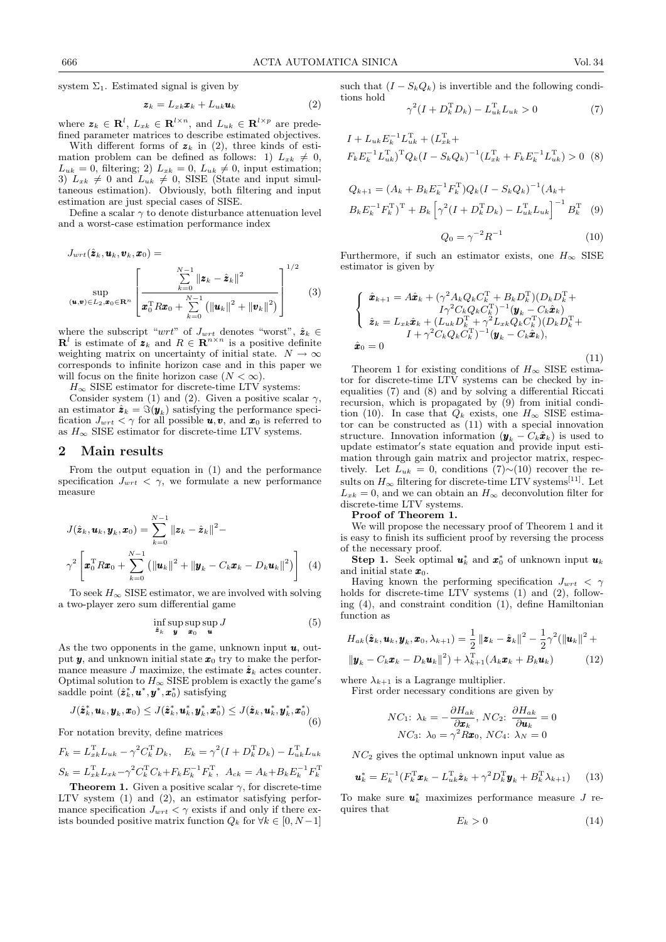system  $\Sigma_1$ . Estimated signal is given by

$$
\boldsymbol{z}_k = L_{xk}\boldsymbol{x}_k + L_{uk}\boldsymbol{u}_k \tag{2}
$$

where  $\mathbf{z}_k \in \mathbf{R}^l$ ,  $L_{x_k} \in \mathbf{R}^{l \times n}$ , and  $L_{uk} \in \mathbf{R}^{l \times p}$  are predefined parameter matrices to describe estimated objectives.

With different forms of  $z_k$  in (2), three kinds of estimation problem can be defined as follows: 1)  $L_{x_k} \neq 0$ ,  $L_{uk} = 0$ , filtering; 2)  $L_{xk} = 0$ ,  $L_{uk} \neq 0$ , input estimation; 3)  $L_{xk} \neq 0$  and  $L_{uk} \neq 0$ , SISE (State and input simultaneous estimation). Obviously, both filtering and input estimation are just special cases of SISE.

Define a scalar  $\gamma$  to denote disturbance attenuation level and a worst-case estimation performance index

$$
J_{wrt}(\hat{\mathbf{z}}_k, \mathbf{u}_k, \mathbf{v}_k, \mathbf{x}_0) =
$$
  
\n
$$
\sup_{(\mathbf{u}, \mathbf{v}) \in L_2, \mathbf{x}_0 \in \mathbf{R}^n} \left[ \frac{\sum_{k=0}^{N-1} ||\mathbf{z}_k - \hat{\mathbf{z}}_k||^2}{\mathbf{x}_0^{\mathrm{T}} R \mathbf{x}_0 + \sum_{k=0}^{N-1} (||\mathbf{u}_k||^2 + ||\mathbf{v}_k||^2)} \right]^{1/2}
$$
\n(3)

where the subscript " $wrt$ " of  $J_{wrt}$  denotes "worst",  $\hat{\mathbf{z}}_k \in$  $\mathbf{R}^l$  is estimate of  $\mathbf{z}_k$  and  $R \in \mathbf{R}^{n \times n}$  is a positive definite weighting matrix on uncertainty of initial state.  $N \to \infty$ corresponds to infinite horizon case and in this paper we will focus on the finite horizon case  $(N < \infty)$ .

 $H_{\infty}$  SISE estimator for discrete-time LTV systems:

Consider system (1) and (2). Given a positive scalar  $\gamma$ , an estimator  $\hat{\mathbf{z}}_k = \Im(\mathbf{y}_k)$  satisfying the performance specification  $J_{wrt} < \gamma$  for all possible  $\mathbf{u}, \mathbf{v}$ , and  $\mathbf{x}_0$  is referred to as  $H_{\infty}$  SISE estimator for discrete-time LTV systems.

#### 2 Main results

From the output equation in (1) and the performance specification  $J_{wrt} < \gamma$ , we formulate a new performance measure

$$
J(\hat{\mathbf{z}}_k, \mathbf{u}_k, \mathbf{y}_k, \mathbf{x}_0) = \sum_{k=0}^{N-1} ||\mathbf{z}_k - \hat{\mathbf{z}}_k||^2 -
$$
  

$$
\gamma^2 \left[ \mathbf{x}_0^{\mathrm{T}} R \mathbf{x}_0 + \sum_{k=0}^{N-1} (||\mathbf{u}_k||^2 + ||\mathbf{y}_k - C_k \mathbf{x}_k - D_k \mathbf{u}_k||^2) \right]
$$
(4)

To seek  $H_{\infty}$  SISE estimator, we are involved with solving a two-player zero sum differential game

$$
\inf_{\hat{\mathbf{z}}_k} \sup_{\mathbf{y}} \sup_{\mathbf{x}_0} \sup_{\mathbf{u}} J \tag{5}
$$

As the two opponents in the game, unknown input  $u$ , output  $y$ , and unknown initial state  $x_0$  try to make the performance measure J maximize, the estimate  $\hat{z}_k$  actes counter. Optimal solution to  $H_{\infty}$  SISE problem is exactly the game's saddle point  $(\hat{\mathbf{z}}_k^*, \mathbf{u}^*, \mathbf{y}^*, \mathbf{x}_0^*)$  satisfying

$$
J(\hat{\mathbf{z}}_k^*, \boldsymbol{u}_k, \boldsymbol{y}_k, \boldsymbol{x}_0) \leq J(\hat{\mathbf{z}}_k^*, \boldsymbol{u}_k^*, \boldsymbol{y}_k^*, \boldsymbol{x}_0^*) \leq J(\hat{\mathbf{z}}_k, \boldsymbol{u}_k^*, \boldsymbol{y}_k^*, \boldsymbol{x}_0^*) \tag{6}
$$

For notation brevity, define matrices

$$
F_k = L_{xk}^{\mathrm{T}} L_{uk} - \gamma^2 C_k^{\mathrm{T}} D_k, \quad E_k = \gamma^2 (I + D_k^{\mathrm{T}} D_k) - L_{uk}^{\mathrm{T}} L_{uk}
$$
  

$$
S_k = L_{xk}^{\mathrm{T}} L_{xk} - \gamma^2 C_k^{\mathrm{T}} C_k + F_k E_k^{-1} F_k^{\mathrm{T}}, \quad A_{ck} = A_k + B_k E_k^{-1} F_k^{\mathrm{T}}
$$

**Theorem 1.** Given a positive scalar  $\gamma$ , for discrete-time LTV system (1) and (2), an estimator satisfying performance specification  $J_{wrt} < \gamma$  exists if and only if there exists bounded positive matrix function  $Q_k$  for  $\forall k \in [0, N-1]$ 

such that  $(I - S_k Q_k)$  is invertible and the following conditions hold

$$
\gamma^{2}(I + D_{k}^{\mathrm{T}} D_{k}) - L_{uk}^{\mathrm{T}} L_{uk} > 0
$$
\n(7)

$$
I + L_{uk} E_k^{-1} L_{uk}^{\mathrm{T}} + (L_{xk}^{\mathrm{T}} + (L_{xk}^{\mathrm{T}} + K_{k} E_k^{-1} L_{uk}^{\mathrm{T}}))
$$
  

$$
F_k E_k^{-1} L_{uk}^{\mathrm{T}} \Gamma Q_k (I - S_k Q_k)^{-1} (L_{xk}^{\mathrm{T}} + F_k E_k^{-1} L_{uk}^{\mathrm{T}}) > 0
$$
 (8)

$$
Q_{k+1} = (A_k + B_k E_k^{-1} F_k^{\mathrm{T}}) Q_k (I - S_k Q_k)^{-1} (A_k + B_k E_k^{-1} F_k^{\mathrm{T}})^{\mathrm{T}} + B_k \left[ \gamma^2 (I + D_k^{\mathrm{T}} D_k) - L_{uk}^{\mathrm{T}} L_{uk} \right]^{-1} B_k^{\mathrm{T}} \tag{9}
$$

$$
Q_0 = \gamma^{-2} R^{-1} \tag{10}
$$

Furthermore, if such an estimator exists, one  $H_{\infty}$  SISE estimator is given by

$$
\begin{cases}\n\hat{\pmb{x}}_{k+1} = A\hat{\pmb{x}}_k + (\gamma^2 A_k Q_k C_k^{\mathrm{T}} + B_k D_k^{\mathrm{T}})(D_k D_k^{\mathrm{T}} + \\
I\gamma^2 C_k Q_k C_k^{\mathrm{T}})^{-1} (\pmb{y}_k - C_k \hat{\pmb{x}}_k) \\
\hat{\pmb{z}}_k = L_{xk} \hat{\pmb{x}}_k + (L_{uk} D_k^{\mathrm{T}} + \gamma^2 L_{xk} Q_k C_k^{\mathrm{T}})(D_k D_k^{\mathrm{T}} + \\
I + \gamma^2 C_k Q_k C_k^{\mathrm{T}})^{-1} (\pmb{y}_k - C_k \hat{\pmb{x}}_k),\n\end{cases}
$$
\n(11)

Theorem 1 for existing conditions of  $H_{\infty}$  SISE estimator for discrete-time  $LT\bar{V}$  systems can be checked by inequalities (7) and (8) and by solving a differential Riccati recursion, which is propagated by  $(9)$  from initial condition (10). In case that  $Q_k$  exists, one  $H_{\infty}$  SISE estimator can be constructed as (11) with a special innovation structure. Innovation information  $(\boldsymbol{y}_k - C_k \hat{\boldsymbol{x}}_k)$  is used to update estimator's state equation and provide input estimation through gain matrix and projector matrix, respectively. Let  $L_{uk} = 0$ , conditions (7)∼(10) recover the results on  $H_\infty$  filtering for discrete-time LTV systems[11]. Let  $L_{xk} = 0$ , and we can obtain an  $H_{\infty}$  deconvolution filter for discrete-time LTV systems.

#### Proof of Theorem 1.

We will propose the necessary proof of Theorem 1 and it is easy to finish its sufficient proof by reversing the process of the necessary proof.

Step 1. Seek optimal  $u_k^*$  and  $x_0^*$  of unknown input  $u_k$ and initial state  $x_0$ .

Having known the performing specification  $J_{wrt} < \gamma$ holds for discrete-time LTV systems (1) and (2), following (4), and constraint condition (1), define Hamiltonian function as

$$
H_{ak}(\hat{\mathbf{z}}_k, \mathbf{u}_k, \mathbf{y}_k, \mathbf{x}_0, \lambda_{k+1}) = \frac{1}{2} ||\mathbf{z}_k - \hat{\mathbf{z}}_k||^2 - \frac{1}{2}\gamma^2 (||\mathbf{u}_k||^2 + ||\mathbf{y}_k - C_k \mathbf{x}_k - D_k \mathbf{u}_k||^2) + \lambda_{k+1}^{\mathrm{T}} (A_k \mathbf{x}_k + B_k \mathbf{u}_k)
$$
(12)

where  $\lambda_{k+1}$  is a Lagrange multiplier.

First order necessary conditions are given by

$$
NC_1: \lambda_k = -\frac{\partial H_{ak}}{\partial \mathbf{x}_k}, NC_2: \frac{\partial H_{ak}}{\partial \mathbf{u}_k} = 0
$$

$$
NC_3: \lambda_0 = \gamma^2 R \mathbf{x}_0, NC_4: \lambda_N = 0
$$

 $NC<sub>2</sub>$  gives the optimal unknown input value as

$$
\boldsymbol{u}_k^* = E_k^{-1} (F_k^{\mathrm{T}} \boldsymbol{x}_k - L_{uk}^{\mathrm{T}} \hat{\boldsymbol{z}}_k + \gamma^2 D_k^{\mathrm{T}} \boldsymbol{y}_k + B_k^{\mathrm{T}} \lambda_{k+1}) \qquad (13)
$$

To make sure  $u_k^*$  maximizes performance measure J requires that

$$
E_k > 0 \tag{14}
$$